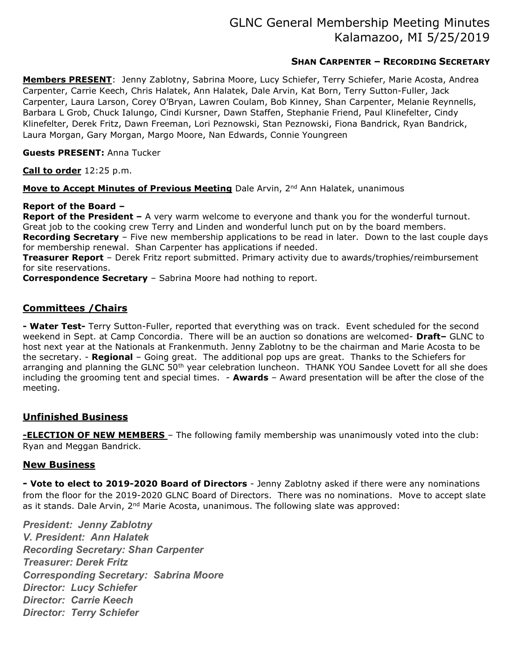# GLNC General Membership Meeting Minutes Kalamazoo, MI 5/25/2019

# SHAN CARPENTER – RECORDING SECRETARY

Members PRESENT: Jenny Zablotny, Sabrina Moore, Lucy Schiefer, Terry Schiefer, Marie Acosta, Andrea Carpenter, Carrie Keech, Chris Halatek, Ann Halatek, Dale Arvin, Kat Born, Terry Sutton-Fuller, Jack Carpenter, Laura Larson, Corey O'Bryan, Lawren Coulam, Bob Kinney, Shan Carpenter, Melanie Reynnells, Barbara L Grob, Chuck Ialungo, Cindi Kursner, Dawn Staffen, Stephanie Friend, Paul Klinefelter, Cindy Klinefelter, Derek Fritz, Dawn Freeman, Lori Peznowski, Stan Peznowski, Fiona Bandrick, Ryan Bandrick, Laura Morgan, Gary Morgan, Margo Moore, Nan Edwards, Connie Youngreen

#### Guests PRESENT: Anna Tucker

Call to order 12:25 p.m.

Move to Accept Minutes of Previous Meeting Dale Arvin, 2<sup>nd</sup> Ann Halatek, unanimous

#### Report of the Board –

**Report of the President -** A very warm welcome to everyone and thank you for the wonderful turnout. Great job to the cooking crew Terry and Linden and wonderful lunch put on by the board members. Recording Secretary - Five new membership applications to be read in later. Down to the last couple days for membership renewal. Shan Carpenter has applications if needed.

**Treasurer Report** - Derek Fritz report submitted. Primary activity due to awards/trophies/reimbursement for site reservations.

Correspondence Secretary – Sabrina Moore had nothing to report.

## Committees /Chairs

- Water Test- Terry Sutton-Fuller, reported that everything was on track. Event scheduled for the second weekend in Sept. at Camp Concordia. There will be an auction so donations are welcomed- Draft- GLNC to host next year at the Nationals at Frankenmuth. Jenny Zablotny to be the chairman and Marie Acosta to be the secretary. - Regional - Going great. The additional pop ups are great. Thanks to the Schiefers for arranging and planning the GLNC 50<sup>th</sup> year celebration luncheon. THANK YOU Sandee Lovett for all she does including the grooming tent and special times.  $-$  Awards – Award presentation will be after the close of the meeting.

## Unfinished Business

**-ELECTION OF NEW MEMBERS** - The following family membership was unanimously voted into the club: Ryan and Meggan Bandrick.

## **New Business**

- Vote to elect to 2019-2020 Board of Directors - Jenny Zablotny asked if there were any nominations from the floor for the 2019-2020 GLNC Board of Directors. There was no nominations. Move to accept slate as it stands. Dale Arvin,  $2<sup>nd</sup>$  Marie Acosta, unanimous. The following slate was approved:

President: Jenny Zablotny V. President: Ann Halatek Recording Secretary: Shan Carpenter Treasurer: Derek Fritz Corresponding Secretary: Sabrina Moore Director: Lucy Schiefer Director: Carrie Keech Director: Terry Schiefer